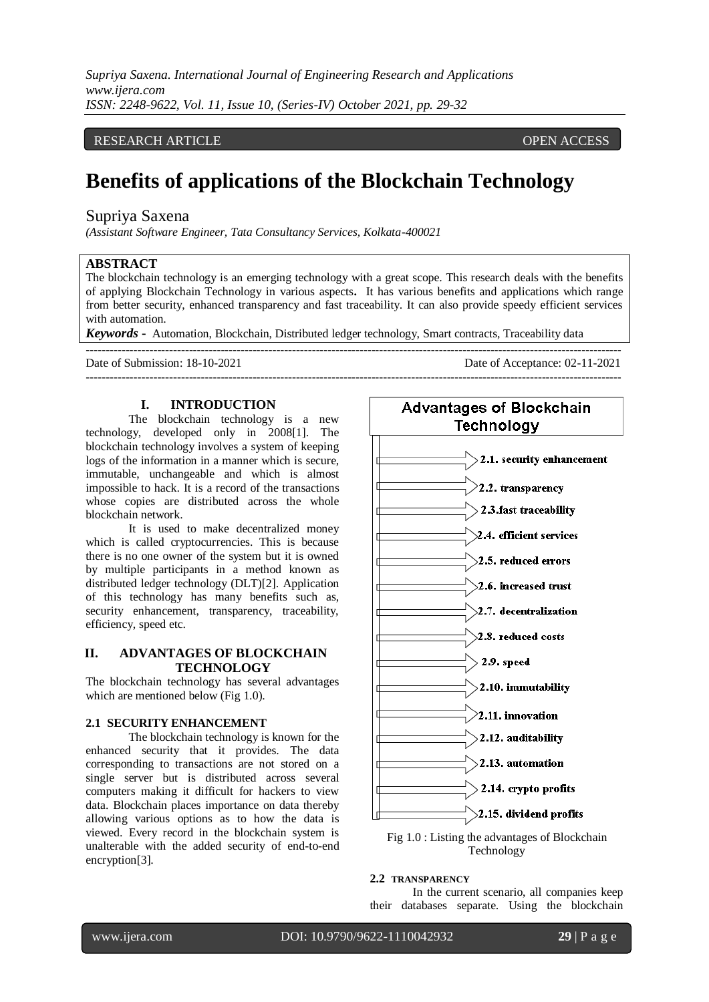*Supriya Saxena. International Journal of Engineering Research and Applications www.ijera.com ISSN: 2248-9622, Vol. 11, Issue 10, (Series-IV) October 2021, pp. 29-32*

## RESEARCH ARTICLE **CONSERVERS** OPEN ACCESS

# **Benefits of applications of the Blockchain Technology**

# Supriya Saxena

*(Assistant Software Engineer, Tata Consultancy Services, Kolkata-400021*

# **ABSTRACT**

The blockchain technology is an emerging technology with a great scope. This research deals with the benefits of applying Blockchain Technology in various aspects**.** It has various benefits and applications which range from better security, enhanced transparency and fast traceability. It can also provide speedy efficient services with automation.

---------------------------------------------------------------------------------------------------------------------------------------

*Keywords* **-** Automation, Blockchain, Distributed ledger technology, Smart contracts, Traceability data

--------------------------------------------------------------------------------------------------------------------------------------- Date of Submission: 18-10-2021 Date of Acceptance: 02-11-2021

#### **I. INTRODUCTION**

The blockchain technology is a new technology, developed only in 2008[1]. The blockchain technology involves a system of keeping logs of the information in a manner which is secure, immutable, unchangeable and which is almost impossible to hack. It is a record of the transactions whose copies are distributed across the whole blockchain network.

It is used to make decentralized money which is called cryptocurrencies. This is because there is no one owner of the system but it is owned by multiple participants in a method known as distributed ledger technology (DLT)[2]. Application of this technology has many benefits such as, security enhancement, transparency, traceability, efficiency, speed etc.

## **II. ADVANTAGES OF BLOCKCHAIN TECHNOLOGY**

The blockchain technology has several advantages which are mentioned below (Fig 1.0).

# **2.1 SECURITY ENHANCEMENT**

The blockchain technology is known for the enhanced security that it provides. The data corresponding to transactions are not stored on a single server but is distributed across several computers making it difficult for hackers to view data. Blockchain places importance on data thereby allowing various options as to how the data is viewed. Every record in the blockchain system is unalterable with the added security of end-to-end encryption[3].



Technology

#### **2.2 TRANSPARENCY**

In the current scenario, all companies keep their databases separate. Using the blockchain

www.ijera.com DOI: 10.9790/9622-1110042932 **29** | P a g e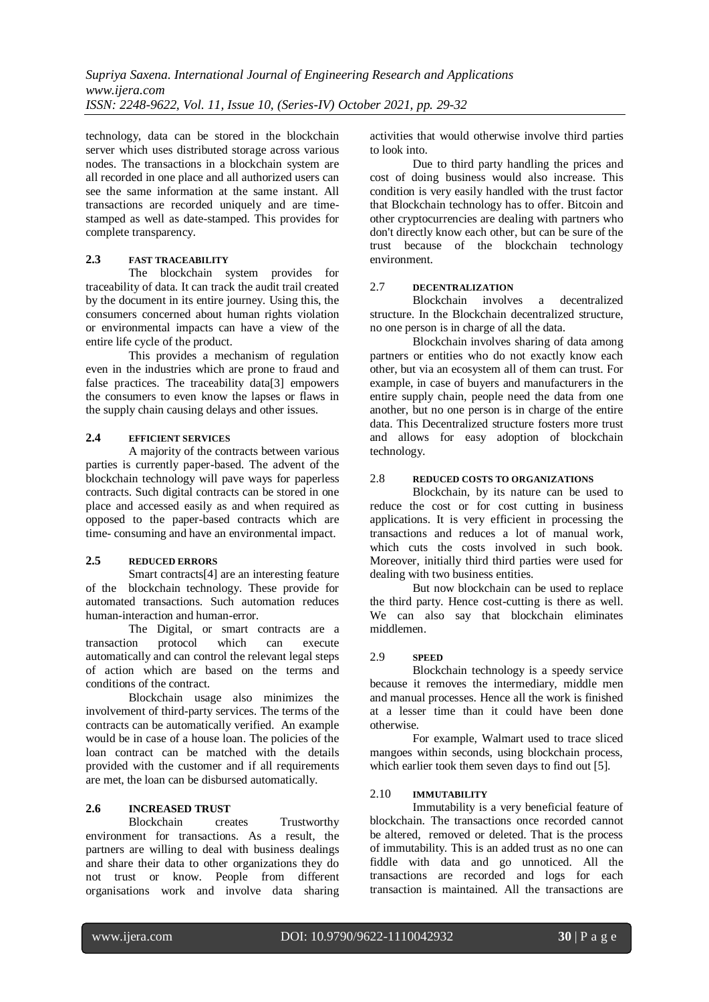technology, data can be stored in the blockchain server which uses distributed storage across various nodes. The transactions in a blockchain system are all recorded in one place and all authorized users can see the same information at the same instant. All transactions are recorded uniquely and are timestamped as well as date-stamped. This provides for complete transparency.

# **2.3 FAST TRACEABILITY**

The blockchain system provides for traceability of data. It can track the audit trail created by the document in its entire journey. Using this, the consumers concerned about human rights violation or environmental impacts can have a view of the entire life cycle of the product.

This provides a mechanism of regulation even in the industries which are prone to fraud and false practices. The traceability data[3] empowers the consumers to even know the lapses or flaws in the supply chain causing delays and other issues.

# **2.4 EFFICIENT SERVICES**

A majority of the contracts between various parties is currently paper-based. The advent of the blockchain technology will pave ways for paperless contracts. Such digital contracts can be stored in one place and accessed easily as and when required as opposed to the paper-based contracts which are time- consuming and have an environmental impact.

## **2.5 REDUCED ERRORS**

Smart contracts[4] are an interesting feature of the blockchain technology. These provide for automated transactions. Such automation reduces human-interaction and human-error.

The Digital, or smart contracts are a transaction protocol which can execute automatically and can control the relevant legal steps of action which are based on the terms and conditions of the contract.

Blockchain usage also minimizes the involvement of third-party services. The terms of the contracts can be automatically verified. An example would be in case of a house loan. The policies of the loan contract can be matched with the details provided with the customer and if all requirements are met, the loan can be disbursed automatically.

# **2.6 INCREASED TRUST**

Blockchain creates Trustworthy environment for transactions. As a result, the partners are willing to deal with business dealings and share their data to other organizations they do not trust or know. People from different organisations work and involve data sharing activities that would otherwise involve third parties to look into.

Due to third party handling the prices and cost of doing business would also increase. This condition is very easily handled with the trust factor that Blockchain technology has to offer. Bitcoin and other cryptocurrencies are dealing with partners who don't directly know each other, but can be sure of the trust because of the blockchain technology environment.

## 2.7 **DECENTRALIZATION**

Blockchain involves a decentralized structure. In the Blockchain decentralized structure, no one person is in charge of all the data.

Blockchain involves sharing of data among partners or entities who do not exactly know each other, but via an ecosystem all of them can trust. For example, in case of buyers and manufacturers in the entire supply chain, people need the data from one another, but no one person is in charge of the entire data. This Decentralized structure fosters more trust and allows for easy adoption of blockchain technology.

## 2.8 **REDUCED COSTS TO ORGANIZATIONS**

Blockchain, by its nature can be used to reduce the cost or for cost cutting in business applications. It is very efficient in processing the transactions and reduces a lot of manual work, which cuts the costs involved in such book. Moreover, initially third third parties were used for dealing with two business entities.

But now blockchain can be used to replace the third party. Hence cost-cutting is there as well. We can also say that blockchain eliminates middlemen.

## 2.9 **SPEED**

Blockchain technology is a speedy service because it removes the intermediary, middle men and manual processes. Hence all the work is finished at a lesser time than it could have been done otherwise.

For example, Walmart used to trace sliced mangoes within seconds, using blockchain process, which earlier took them seven days to find out [5].

# 2.10 **IMMUTABILITY**

Immutability is a very beneficial feature of blockchain. The transactions once recorded cannot be altered, removed or deleted. That is the process of immutability. This is an added trust as no one can fiddle with data and go unnoticed. All the transactions are recorded and logs for each transaction is maintained. All the transactions are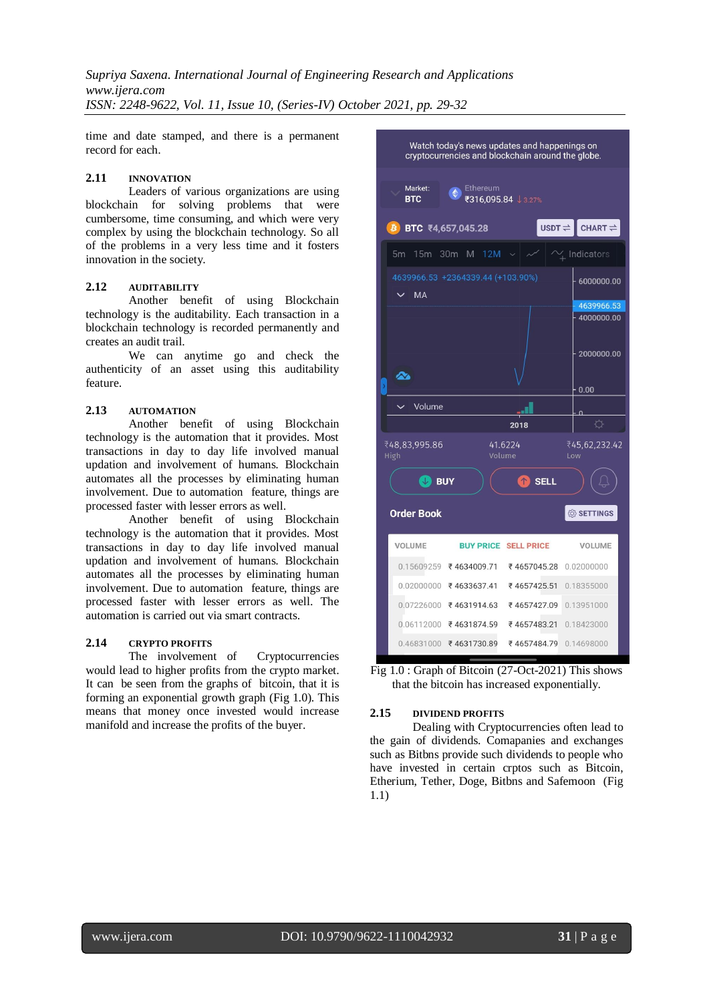*Supriya Saxena. International Journal of Engineering Research and Applications www.ijera.com ISSN: 2248-9622, Vol. 11, Issue 10, (Series-IV) October 2021, pp. 29-32*

time and date stamped, and there is a permanent record for each.

#### **2.11 INNOVATION**

Leaders of various organizations are using blockchain for solving problems that were cumbersome, time consuming, and which were very complex by using the blockchain technology. So all of the problems in a very less time and it fosters innovation in the society.

#### **2.12 AUDITABILITY**

Another benefit of using Blockchain technology is the auditability. Each transaction in a blockchain technology is recorded permanently and creates an audit trail.

We can anytime go and check the authenticity of an asset using this auditability feature.

#### **2.13 AUTOMATION**

Another benefit of using Blockchain technology is the automation that it provides. Most transactions in day to day life involved manual updation and involvement of humans. Blockchain automates all the processes by eliminating human involvement. Due to automation feature, things are processed faster with lesser errors as well.

Another benefit of using Blockchain technology is the automation that it provides. Most transactions in day to day life involved manual updation and involvement of humans. Blockchain automates all the processes by eliminating human involvement. Due to automation feature, things are processed faster with lesser errors as well. The automation is carried out via smart contracts.

#### **2.14 CRYPTO PROFITS**

The involvement of Cryptocurrencies would lead to higher profits from the crypto market. It can be seen from the graphs of bitcoin, that it is forming an exponential growth graph (Fig 1.0). This means that money once invested would increase manifold and increase the profits of the buyer.



Fig 1.0 : Graph of Bitcoin (27-Oct-2021) This shows that the bitcoin has increased exponentially.

#### **2.15 DIVIDEND PROFITS**

Dealing with Cryptocurrencies often lead to the gain of dividends. Comapanies and exchanges such as Bitbns provide such dividends to people who have invested in certain crptos such as Bitcoin, Etherium, Tether, Doge, Bitbns and Safemoon (Fig 1.1)